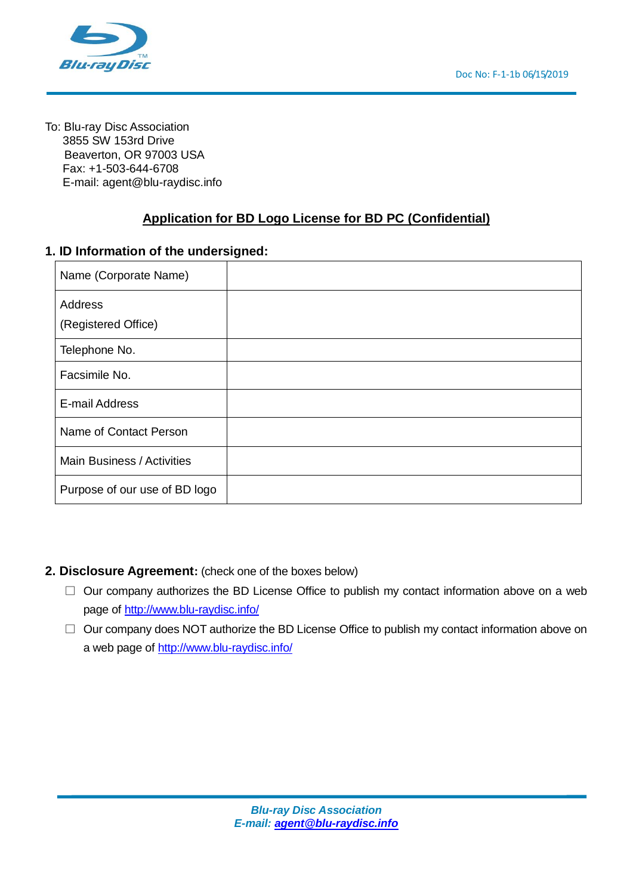

To: Blu-ray Disc Association 3855 SW 153rd Drive Beaverton, OR 97003 USA Fax: +1-503-644-6708 E-mail: agent@blu-raydisc.info

## **Application for BD Logo License for BD PC (Confidential)**

## **1. ID Information of the undersigned:**

| Name (Corporate Name)          |  |
|--------------------------------|--|
| Address<br>(Registered Office) |  |
| Telephone No.                  |  |
| Facsimile No.                  |  |
| E-mail Address                 |  |
| Name of Contact Person         |  |
| Main Business / Activities     |  |
| Purpose of our use of BD logo  |  |

## **2. Disclosure Agreement:** (check one of the boxes below)

- $\Box$  Our company authorizes the BD License Office to publish my contact information above on a web page of<http://www.blu-raydisc.info/>
- $\Box$  Our company does NOT authorize the BD License Office to publish my contact information above on a web page of<http://www.blu-raydisc.info/>